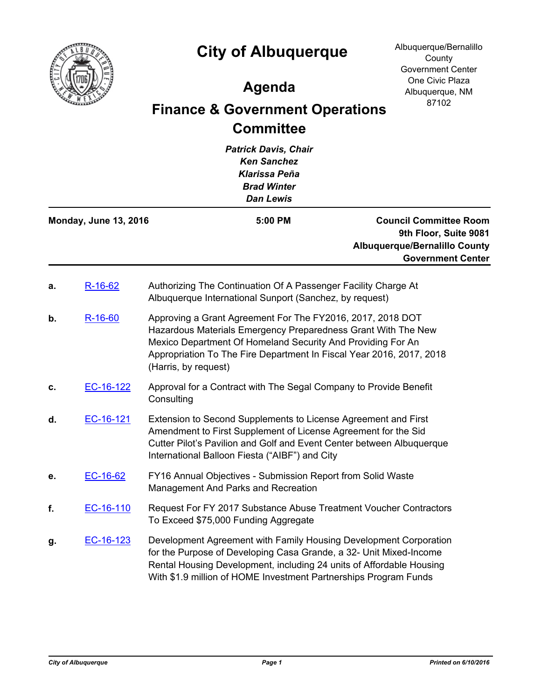

## **City of Albuquerque**

## **Agenda**

## **Finance & Government Operations Committee**

*Patrick Davis, Chair Ken Sanchez Klarissa Peña Brad Winter Dan Lewis* **Council Committee Room 9th Floor, Suite 9081 Albuquerque/Bernalillo County Government Center Monday, June 13, 2016 5:00 PM a.** [R-16-62](http://cabq.legistar.com/gateway.aspx?m=l&id=/matter.aspx?key=10212) Authorizing The Continuation Of A Passenger Facility Charge At Albuquerque International Sunport (Sanchez, by request) **b.** [R-16-60](http://cabq.legistar.com/gateway.aspx?m=l&id=/matter.aspx?key=10209) Approving a Grant Agreement For The FY2016, 2017, 2018 DOT Hazardous Materials Emergency Preparedness Grant With The New Mexico Department Of Homeland Security And Providing For An Appropriation To The Fire Department In Fiscal Year 2016, 2017, 2018 (Harris, by request) **c.** [EC-16-122](http://cabq.legistar.com/gateway.aspx?m=l&id=/matter.aspx?key=10189) Approval for a Contract with The Segal Company to Provide Benefit **Consulting d.** [EC-16-121](http://cabq.legistar.com/gateway.aspx?m=l&id=/matter.aspx?key=10188) Extension to Second Supplements to License Agreement and First Amendment to First Supplement of License Agreement for the Sid Cutter Pilot's Pavilion and Golf and Event Center between Albuquerque International Balloon Fiesta ("AIBF") and City **e.** [EC-16-62](http://cabq.legistar.com/gateway.aspx?m=l&id=/matter.aspx?key=10076) FY16 Annual Objectives - Submission Report from Solid Waste Management And Parks and Recreation **f.** [EC-16-110](http://cabq.legistar.com/gateway.aspx?m=l&id=/matter.aspx?key=10170) Request For FY 2017 Substance Abuse Treatment Voucher Contractors To Exceed \$75,000 Funding Aggregate **g.** [EC-16-123](http://cabq.legistar.com/gateway.aspx?m=l&id=/matter.aspx?key=10190) Development Agreement with Family Housing Development Corporation for the Purpose of Developing Casa Grande, a 32- Unit Mixed-Income Rental Housing Development, including 24 units of Affordable Housing With \$1.9 million of HOME Investment Partnerships Program Funds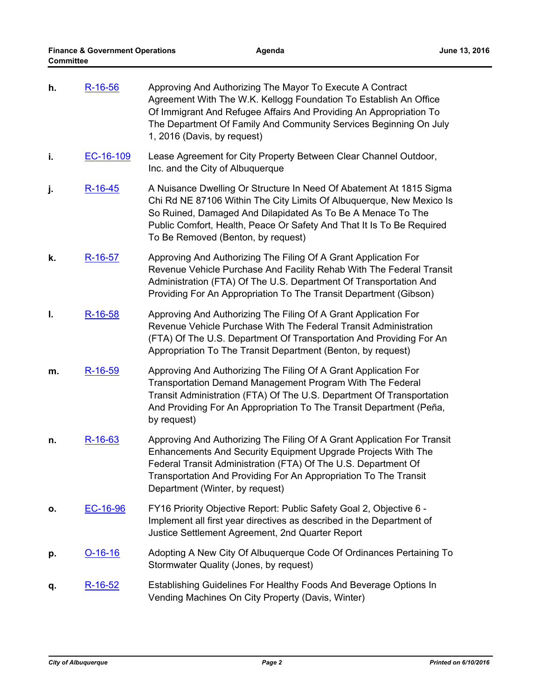| h. | R-16-56   | Approving And Authorizing The Mayor To Execute A Contract<br>Agreement With The W.K. Kellogg Foundation To Establish An Office<br>Of Immigrant And Refugee Affairs And Providing An Appropriation To<br>The Department Of Family And Community Services Beginning On July<br>1, 2016 (Davis, by request)                  |
|----|-----------|---------------------------------------------------------------------------------------------------------------------------------------------------------------------------------------------------------------------------------------------------------------------------------------------------------------------------|
| i. | EC-16-109 | Lease Agreement for City Property Between Clear Channel Outdoor,<br>Inc. and the City of Albuquerque                                                                                                                                                                                                                      |
| j. | $R-16-45$ | A Nuisance Dwelling Or Structure In Need Of Abatement At 1815 Sigma<br>Chi Rd NE 87106 Within The City Limits Of Albuquerque, New Mexico Is<br>So Ruined, Damaged And Dilapidated As To Be A Menace To The<br>Public Comfort, Health, Peace Or Safety And That It Is To Be Required<br>To Be Removed (Benton, by request) |
| k. | R-16-57   | Approving And Authorizing The Filing Of A Grant Application For<br>Revenue Vehicle Purchase And Facility Rehab With The Federal Transit<br>Administration (FTA) Of The U.S. Department Of Transportation And<br>Providing For An Appropriation To The Transit Department (Gibson)                                         |
| Ι. | R-16-58   | Approving And Authorizing The Filing Of A Grant Application For<br>Revenue Vehicle Purchase With The Federal Transit Administration<br>(FTA) Of The U.S. Department Of Transportation And Providing For An<br>Appropriation To The Transit Department (Benton, by request)                                                |
| m. | R-16-59   | Approving And Authorizing The Filing Of A Grant Application For<br>Transportation Demand Management Program With The Federal<br>Transit Administration (FTA) Of The U.S. Department Of Transportation<br>And Providing For An Appropriation To The Transit Department (Peña,<br>by request)                               |
| n. | R-16-63   | Approving And Authorizing The Filing Of A Grant Application For Transit<br>Enhancements And Security Equipment Upgrade Projects With The<br>Federal Transit Administration (FTA) Of The U.S. Department Of<br>Transportation And Providing For An Appropriation To The Transit<br>Department (Winter, by request)         |
| о. | EC-16-96  | FY16 Priority Objective Report: Public Safety Goal 2, Objective 6 -<br>Implement all first year directives as described in the Department of<br>Justice Settlement Agreement, 2nd Quarter Report                                                                                                                          |
| p. | $O-16-16$ | Adopting A New City Of Albuquerque Code Of Ordinances Pertaining To<br>Stormwater Quality (Jones, by request)                                                                                                                                                                                                             |
| q. | $R-16-52$ | Establishing Guidelines For Healthy Foods And Beverage Options In<br>Vending Machines On City Property (Davis, Winter)                                                                                                                                                                                                    |